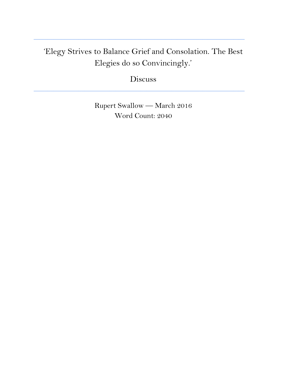## 'Elegy Strives to Balance Grief and Consolation. The Best Elegies do so Convincingly.'

**\_\_\_\_\_\_\_\_\_\_\_\_\_\_\_\_\_\_\_\_\_\_\_\_\_\_\_\_\_\_\_\_\_\_\_\_\_\_\_\_\_\_\_\_\_\_\_\_\_\_\_\_\_\_\_\_\_\_\_\_\_\_\_\_\_\_\_\_\_\_\_\_\_\_\_**

Discuss

**\_\_\_\_\_\_\_\_\_\_\_\_\_\_\_\_\_\_\_\_\_\_\_\_\_\_\_\_\_\_\_\_\_\_\_\_\_\_\_\_\_\_\_\_\_\_\_\_\_\_\_\_\_\_\_\_\_\_\_\_\_\_\_\_\_\_\_\_\_\_\_\_\_\_\_**

Rupert Swallow — March 2016 Word Count: 2040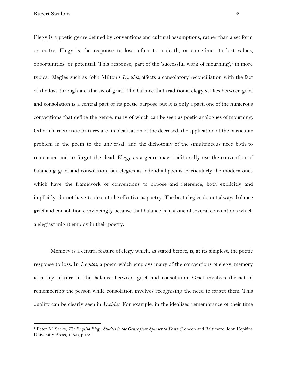Rupert Swallow 2

Elegy is a poetic genre defined by conventions and cultural assumptions, rather than a set form or metre. Elegy is the response to loss, often to a death, or sometimes to lost values, opportunities, or potential. This response, part of the 'successful work of mourning', in more typical Elegies such as John Milton's *Lycidas,* affects a consolatory reconciliation with the fact of the loss through a catharsis of grief. The balance that traditional elegy strikes between grief and consolation is a central part of its poetic purpose but it is only a part, one of the numerous conventions that define the genre, many of which can be seen as poetic analogues of mourning. Other characteristic features are its idealisation of the deceased, the application of the particular problem in the poem to the universal, and the dichotomy of the simultaneous need both to remember and to forget the dead. Elegy as a genre may traditionally use the convention of balancing grief and consolation, but elegies as individual poems, particularly the modern ones which have the framework of conventions to oppose and reference, both explicitly and implicitly, do not have to do so to be effective as poetry. The best elegies do not always balance grief and consolation convincingly because that balance is just one of several conventions which a elegiast might employ in their poetry.

Memory is a central feature of elegy which, as stated before, is, at its simplest, the poetic response to loss. In *Lycidas*, a poem which employs many of the conventions of elegy, memory is a key feature in the balance between grief and consolation. Grief involves the act of remembering the person while consolation involves recognising the need to forget them. This duality can be clearly seen in *Lycidas*. For example, in the idealised remembrance of their time

<sup>1</sup> Peter M. Sacks, *The English Elegy: Studies in the Genre from Spenser to Yeats*, (London and Baltimore: John Hopkins University Press, 1985), p.169.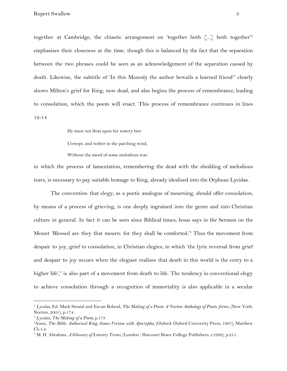together at Cambridge, the chiastic arrangement on 'together both  $[\dots]$  both together'<sup>2</sup> emphasises their closeness at the time, though this is balanced by the fact that the separation between the two phrases could be seen as an acknowledgement of the separation caused by death. Likewise, the subtitle of 'In this Monody the author bewails a learned friend'<sup>3</sup> clearly shows Milton's grief for King, now dead, and also begins the process of remembrance, leading to consolation, which the poem will enact. This process of remembrance continues in lines 12-14

He must not float upon his watery bier

Unwept, and welter to the parching wind,

Without the meed of some melodious tear.

in which the process of lamentation, remembering the dead with the shedding of melodious tears, is necessary to pay suitable homage to King, already idealised into the Orphean Lycidas.

The convention that elegy, as a poetic analogue of mourning, should offer consolation, by means of a process of grieving, is one deeply ingrained into the genre and into Christian culture in general. In fact it can be seen since Biblical times; Jesus says in the Sermon on the Mount 'Blessed are they that mourn: for they shall be comforted.'<sup>4</sup> Thus the movement from despair to joy, grief to consolation, in Christian elegies, in which 'the lyric reversal from grief and despair to joy occurs when the elegiast realises that death in this world is the entry to a higher life', $\delta$  is also part of a movement from death to life. The tendency in conventional elegy to achieve consolation through a recognition of immortality is also applicable in a secular

<sup>2</sup> *Lycidas*, Ed. Mark Strand and Eavan Boland, *The Making of a Poem: A Norton Anthology of Poetic forms*, (New York: Norton, 2001), p.174.

<sup>3</sup> *Lycidas*, *The Making of a Poem,* p.173

<sup>4</sup>Anon, *The Bible: Authorised King James Version with Apocrypha*, (Oxford: Oxford University Press, 1997), Matthew Ch.5.4.

<sup>5</sup> M. H. Abrahms, *A Glossary of Literary Terms*, (London : Harcourt Brace College Publishers, c1999), p.211.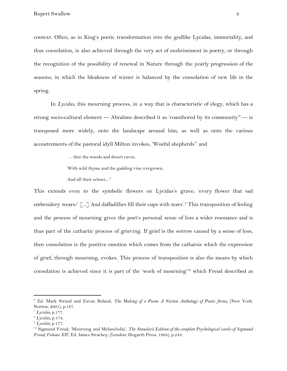context. Often, as in King's poetic transformation into the godlike Lycidas, immortality, and thus consolation, is also achieved through the very act of enshrinement in poetry, or through the recognition of the possibility of renewal in Nature through the yearly progression of the seasons, in which the bleakness of winter is balanced by the consolation of new life in the spring.

In *Lycidas,* this mourning process, in a way that is characteristic of elegy, which has a strong socio-cultural element — Abrahms described it as 'coauthored by its community'<sup>6</sup> — is transposed more widely, onto the landscape around him, as well as onto the various accoutrements of the pastoral idyll Milton invokes, 'Woeful shepherds'<sup>7</sup> and

… thee the woods and desert caves,

With wild thyme and the gadding vine o'ergrown,

And all their echoes.... 8

This extends even to the symbolic flowers on Lycidas's grave; 'every flower that sad embroidery wears/  $\lceil ... \rceil$  And daffadillies fill their cups with tears'.<sup>9</sup> This transposition of feeling and the process of mourning gives the poet's personal sense of loss a wider resonance and is thus part of the cathartic process of grieving. If grief is the sorrow caused by a sense of loss, then consolation is the positive emotion which comes from the catharsis which the expression of grief, through mourning, evokes. This process of transposition is also the means by which consolation is achieved since it is part of the 'work of mourning'<sup>10</sup> which Freud described as

<sup>6</sup> Ed. Mark Strand and Eavan Boland, *The Making of a Poem: A Norton Anthology of Poetic forms*, (New York: Norton, 2001), p.167.

<sup>7</sup> *Lycidas*, p.177.

<sup>8</sup> *Lycidas*, p.174.

<sup>9</sup> *Lycidas*, p.177.

<sup>10</sup> Sigmund Freud, 'Mourning and Melancholia', *The Standard Edition of the complete Psychological works of Sigmund Freud, Volume XIV,* Ed. James Strachey, (London: Hogarth Press, 1994), p.243.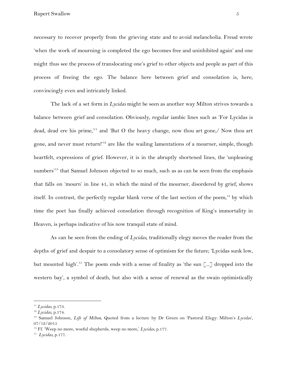Rupert Swallow 5

necessary to recover properly from the grieving state and to avoid melancholia. Freud wrote 'when the work of mourning is completed the ego becomes free and uninhibited again' and one might thus see the process of translocating one's grief to other objects and people as part of this process of freeing the ego. The balance here between grief and consolation is, here, convincingly even and intricately linked.

The lack of a set form in *Lycidas* might be seen as another way Milton strives towards a balance between grief and consolation. Obviously, regular iambic lines such as 'For Lycidas is dead, dead ere his prime,'<sup>11</sup> and 'But O the heavy change, now thou art gone,/ Now thou art gone, and never must return!'<sup>12</sup> are like the wailing lamentations of a mourner, simple, though heartfelt, expressions of grief. However, it is in the abruptly shortened lines, the 'unpleasing numbers'<sup>13</sup> that Samuel Johnson objected to so much, such as as can be seen from the emphasis that falls on 'mourn' in line 41, in which the mind of the mourner, disordered by grief, shows itself. In contrast, the perfectly regular blank verse of the last section of the poem,<sup>14</sup> by which time the poet has finally achieved consolation through recognition of King's immortality in Heaven, is perhaps indicative of his now tranquil state of mind.

As can be seen from the ending of *Lycidas*, traditionally elegy moves the reader from the depths of grief and despair to a consolatory sense of optimism for the future; 'Lycidas sunk low, but mounted high'.<sup>15</sup> The poem ends with a sense of finality as 'the sun [ $\ldots$ ] dropped into the western bay', a symbol of death, but also with a sense of renewal as the swain optimistically

<sup>11</sup> *Lycidas*, p.173.

<sup>12</sup> *Lycidas*, p.174.

<sup>13</sup> Samuel Johnson, *Life of Milton*, Quoted from a lecture by Dr Green on 'Pastoral Elegy: Milton's *Lycidas*', 07/12/2015

<sup>&</sup>lt;sup>14</sup> Ff. 'Weep no more, woeful shepherds, weep no more,' *Lycidas*, p.177.

<sup>15</sup> *Lycidas*, p.177.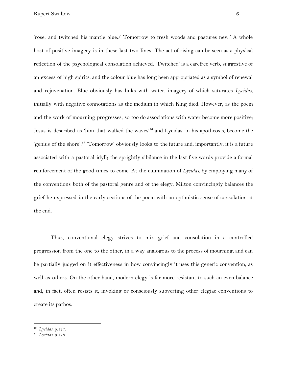'rose, and twitched his mantle blue:/ Tomorrow to fresh woods and pastures new.' A whole host of positive imagery is in these last two lines. The act of rising can be seen as a physical reflection of the psychological consolation achieved. 'Twitched' is a carefree verb, suggestive of an excess of high spirits, and the colour blue has long been appropriated as a symbol of renewal and rejuvenation. Blue obviously has links with water, imagery of which saturates *Lycidas*, initially with negative connotations as the medium in which King died. However, as the poem and the work of mourning progresses, so too do associations with water become more positive; Jesus is described as 'him that walked the waves'<sup>16</sup> and Lycidas, in his apotheosis, become the 'genius of the shore'.<sup>17</sup> 'Tomorrow' obviously looks to the future and, importantly, it is a future associated with a pastoral idyll; the sprightly sibilance in the last five words provide a formal reinforcement of the good times to come. At the culmination of *Lycidas*, by employing many of the conventions both of the pastoral genre and of the elegy, Milton convincingly balances the grief he expressed in the early sections of the poem with an optimistic sense of consolation at the end.

Thus, conventional elegy strives to mix grief and consolation in a controlled progression from the one to the other, in a way analogous to the process of mourning, and can be partially judged on it effectiveness in how convincingly it uses this generic convention, as well as others. On the other hand, modern elegy is far more resistant to such an even balance and, in fact, often resists it, invoking or consciously subverting other elegiac conventions to create its pathos.

<sup>16</sup> *Lycidas*, p.177.

<sup>17</sup> *Lycidas*, p.178.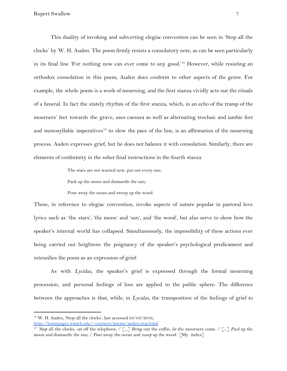This duality of invoking and subverting elegiac convention can be seen in 'Stop all the clocks' by W. H. Auden. The poem firmly resists a consolatory note, as can be seen particularly in its final line 'For nothing now can ever come to any good.'<sup>18</sup> However, while resisting an orthodox consolation in this poem, Auden does conform to other aspects of the genre. For example, the whole poem is a work of mourning, and the first stanza vividly acts out the rituals of a funeral. In fact the stately rhythm of the first stanza, which, in an echo of the tramp of the mourners' feet towards the grave, uses caesura as well as alternating trochaic and iambic feet and monosyllabic imperatives<sup>19</sup> to slow the pace of the line, is an affirmation of the mourning process. Auden expresses grief, but he does not balance it with consolation. Similarly, there are elements of conformity in the sober final instructions in the fourth stanza

The stars are not wanted now: put out every one;

Pack up the moon and dismantle the sun;

Pour away the ocean and sweep up the wood.

These, in reference to elegiac convention, invoke aspects of nature popular in pastoral love lyrics such as 'the stars', 'the moon' and 'sun', and 'the wood', but also serve to show how the speaker's internal world has collapsed. Simultaneously, the impossibility of these actions ever being carried out heightens the poignancy of the speaker's psychological predicament and intensifies the poem as an expression of grief.

As with *Lycidas*, the speaker's grief is expressed through the formal mourning procession, and personal feelings of loss are applied to the public sphere. The difference between the approaches is that, while, in *Lycidas*, the transposition of the feelings of grief to

<sup>&</sup>lt;sup>18</sup> W. H. Auden, 'Stop all the clocks', last accessed 03/03/2016,

<http://homepages.wmich.edu/~cooneys/poems/auden.stop.html>

<sup>19</sup> *'Stop* all the clocks, *cut* off the telephone, / [...] *Bring* out the coffin, *let* the mourners come. / [...] *Pack* up the moon and dismantle the sun; / *Pour* away the ocean and *sweep* up the wood.' [My italics]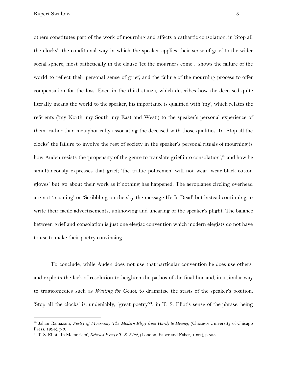Rupert Swallow 8

others constitutes part of the work of mourning and affects a cathartic consolation, in 'Stop all the clocks', the conditional way in which the speaker applies their sense of grief to the wider social sphere, most pathetically in the clause 'let the mourners come', shows the failure of the world to reflect their personal sense of grief, and the failure of the mourning process to offer compensation for the loss. Even in the third stanza, which describes how the deceased quite literally means the world to the speaker, his importance is qualified with 'my', which relates the referents ('my North, my South, my East and West') to the speaker's personal experience of them, rather than metaphorically associating the deceased with those qualities. In 'Stop all the clocks' the failure to involve the rest of society in the speaker's personal rituals of mourning is how Auden resists the 'propensity of the genre to translate grief into consolation',<sup>20</sup> and how he simultaneously expresses that grief; 'the traffic policemen' will not wear 'wear black cotton gloves' but go about their work as if nothing has happened. The aeroplanes circling overhead are not 'moaning' or 'Scribbling on the sky the message He Is Dead' but instead continuing to write their facile advertisements, unknowing and uncaring of the speaker's plight. The balance between grief and consolation is just one elegiac convention which modern elegists do not have to use to make their poetry convincing.

To conclude, while Auden does not use that particular convention he does use others, and exploits the lack of resolution to heighten the pathos of the final line and, in a similar way to tragicomedies such as *Waiting for Godot*, to dramatise the stasis of the speaker's position. 'Stop all the clocks' is, undeniably, 'great poetry'<sup>21</sup>, in T. S. Eliot's sense of the phrase, being

<sup>20</sup> Jahan Ramazani, *Poetry of Mourning: The Modern Elegy from Hardy to Heaney*, (Chicago: University of Chicago Press, 1994), p.3.

<sup>21</sup> T. S. Eliot, 'In Memoriam', *Selected Essays: T. S. Eliot*, (London, Faber and Faber, 1932), p.333.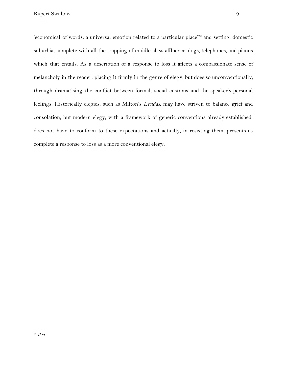'economical of words, a universal emotion related to a particular place'<sup>22</sup> and setting, domestic suburbia, complete with all the trapping of middle-class affluence, dogs, telephones, and pianos which that entails. As a description of a response to loss it affects a compassionate sense of melancholy in the reader, placing it firmly in the genre of elegy, but does so unconventionally, through dramatising the conflict between formal, social customs and the speaker's personal feelings. Historically elegies, such as Milton's *Lycidas*, may have striven to balance grief and consolation, but modern elegy, with a framework of generic conventions already established, does not have to conform to these expectations and actually, in resisting them, presents as complete a response to loss as a more conventional elegy.